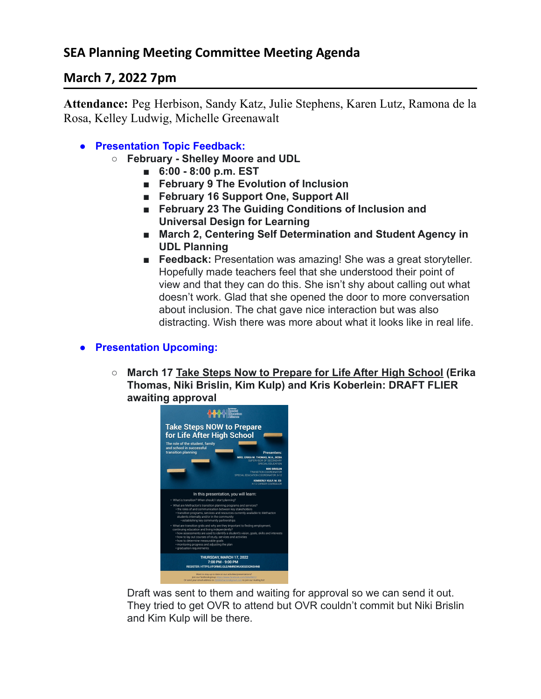# **March 7, 2022 7pm**

**Attendance:** Peg Herbison, Sandy Katz, Julie Stephens, Karen Lutz, Ramona de la Rosa, Kelley Ludwig, Michelle Greenawalt

- **● Presentation Topic Feedback:**
	- **○ February Shelley Moore and UDL**
		- **■ 6:00 8:00 p.m. EST**
		- **■ February 9 The Evolution of Inclusion**
		- **■ February 16 Support One, Support All**
		- **■ February 23 The Guiding Conditions of Inclusion and Universal Design for Learning**
		- **March 2, Centering Self Determination and Student Agency in UDL Planning**
		- **Feedback:** Presentation was amazing! She was a great storyteller. Hopefully made teachers feel that she understood their point of view and that they can do this. She isn't shy about calling out what doesn't work. Glad that she opened the door to more conversation about inclusion. The chat gave nice interaction but was also distracting. Wish there was more about what it looks like in real life.

### **● Presentation Upcoming:**

**○ March 17 Take Steps Now to Prepare for Life After High School (Erika Thomas, Niki Brislin, Kim Kulp) and Kris Koberlein: DRAFT FLIER awaiting approval**



Draft was sent to them and waiting for approval so we can send it out. They tried to get OVR to attend but OVR couldn't commit but Niki Brislin and Kim Kulp will be there.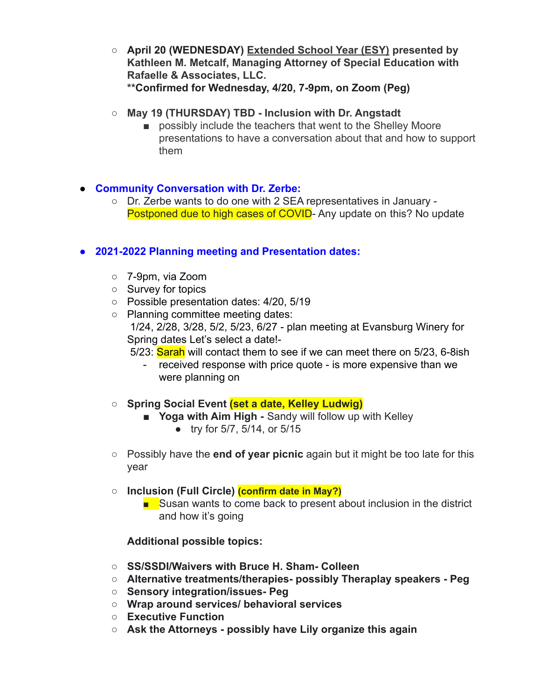- **○ April 20 (WEDNESDAY) Extended School Year (ESY) presented by Kathleen M. Metcalf, Managing Attorney of Special Education with Rafaelle & Associates, LLC. \*\*Confirmed for Wednesday, 4/20, 7-9pm, on Zoom (Peg)**
- **○ May 19 (THURSDAY) TBD Inclusion with Dr. Angstadt**
	- possibly include the teachers that went to the Shelley Moore presentations to have a conversation about that and how to support them

### **● Community Conversation with Dr. Zerbe:**

**○** Dr. Zerbe wants to do one with 2 SEA representatives in January - Postponed due to high cases of COVID- Any update on this? No update

### **● 2021-2022 Planning meeting and Presentation dates:**

- 7-9pm, via Zoom
- Survey for topics
- Possible presentation dates: 4/20, 5/19
- Planning committee meeting dates: 1/24, 2/28, 3/28, 5/2, 5/23, 6/27 - plan meeting at Evansburg Winery for Spring dates Let's select a date!- 5/23: Sarah will contact them to see if we can meet there on 5/23, 6-8ish
	- - received response with price quote is more expensive than we were planning on

#### **○ Spring Social Event (set a date, Kelley Ludwig)**

- **Yoga with Aim High -** Sandy will follow up with Kelley
	- try for 5/7, 5/14, or 5/15
- Possibly have the **end of year picnic** again but it might be too late for this year

#### **○ Inclusion (Full Circle) (confirm date in May?)**

■ Susan wants to come back to present about inclusion in the district and how it's going

#### **Additional possible topics:**

- **○ SS/SSDI/Waivers with Bruce H. Sham- Colleen**
- **○ Alternative treatments/therapies- possibly Theraplay speakers Peg**
- **○ Sensory integration/issues- Peg**
- **○ Wrap around services/ behavioral services**
- **○ Executive Function**
- **○ Ask the Attorneys possibly have Lily organize this again**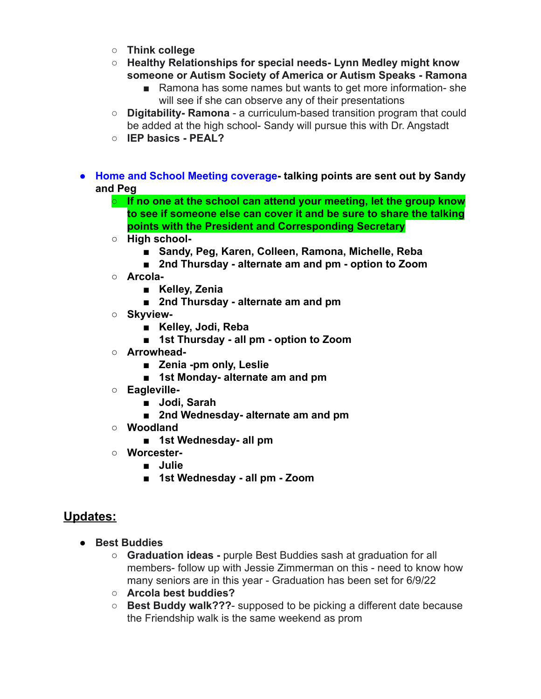- **○ Think college**
- **○ Healthy Relationships for special needs- Lynn Medley might know someone or Autism Society of America or Autism Speaks - Ramona**
	- Ramona has some names but wants to get more information-she will see if she can observe any of their presentations
- **○ Digitability- Ramona** a curriculum-based transition program that could be added at the high school- Sandy will pursue this with Dr. Angstadt
- **○ IEP basics PEAL?**
- **● Home and School Meeting coverage- talking points are sent out by Sandy and Peg**
	- **○ If no one at the school can attend your meeting, let the group know to see if someone else can cover it and be sure to share the talking points with the President and Corresponding Secretary**
	- **○ High school-**
		- **■ Sandy, Peg, Karen, Colleen, Ramona, Michelle, Reba**
		- **■ 2nd Thursday alternate am and pm option to Zoom**
	- **○ Arcola-**
		- **■ Kelley, Zenia**
		- **■ 2nd Thursday alternate am and pm**
	- **○ Skyview-**
		- **■ Kelley, Jodi, Reba**
		- **■ 1st Thursday all pm option to Zoom**
	- **○ Arrowhead-**
		- **■ Zenia -pm only, Leslie**
		- **■ 1st Monday- alternate am and pm**
	- **○ Eagleville-**
		- **■ Jodi, Sarah**
		- **■ 2nd Wednesday- alternate am and pm**
	- **○ Woodland**
		- **■ 1st Wednesday- all pm**
	- **○ Worcester-**
		- **■ Julie**
		- **■ 1st Wednesday all pm Zoom**

## **Updates:**

- **● Best Buddies**
	- **○ Graduation ideas -** purple Best Buddies sash at graduation for all members- follow up with Jessie Zimmerman on this - need to know how many seniors are in this year - Graduation has been set for 6/9/22
	- **○ Arcola best buddies?**
	- **○ Best Buddy walk???** supposed to be picking a different date because the Friendship walk is the same weekend as prom